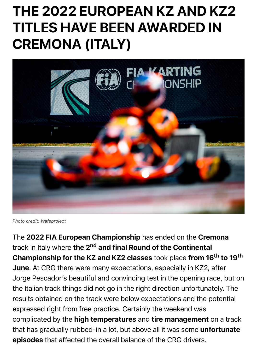

*Photo credit: Wafeproject*

The 2022 FIA European Championship has ended on the Cremon track in Italy where the 2<sup>nd</sup> and final Round of the Continental Championship for the KZ and KZ2 classes took place from 16<sup>th</sup> to June. At CRG there were many expectations, especially in KZ2, after Jorge Pescador's beautiful and convincing test in the opening race, I the Italian track things did not go in the right direction unfortunately. results obtained on the track were below expectations and the poter expressed right from free practice. Certainly the weekend was complicated by the high temperatures and tire management on a that has gradually rubbed-in a lot, but above all it was some unfortu episodes that affected the overall balance of the CRG drivers.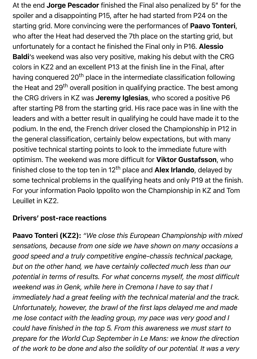At the end Jorge Pescador finished the Final also penalized by 5" for the spoiler and a disappointing P15, after he had started from P24 on the starting grid. More convincing were the performances of **Paavo Tonteri**, who after the Heat had deserved the 7th place on the starting grid, but unfortunately for a contact he finished the Final only in P16. Alessio Baldi's weekend was also very positive, making his debut with the CRG colors in KZ2 and an excellent P13 at the finish line in the Final, after having conquered 20<sup>th</sup> place in the intermediate classification following the Heat and 29<sup>th</sup> overall position in qualifying practice. The best among the CRG drivers in KZ was Jeremy Iglesias, who scored a positive P6 after starting P8 from the starting grid. His race pace was in line with the leaders and with a better result in qualifying he could have made it to the podium. In the end, the French driver closed the Championship in P12 in the general classification, certainly below expectations, but with many positive technical starting points to look to the immediate future with optimism. The weekend was more difficult for Viktor Gustafsson, who finished close to the top ten in  $12<sup>th</sup>$  place and **Alex Irlando**, delayed by some technical problems in the qualifying heats and only P19 at the finish. For your information Paolo Ippolito won the Championship in KZ and Tom Leuillet in KZ2.

## Drivers' post-race reactions

Paavo Tonteri (KZ2): *"We close this European Championship with mixed sensations, because from one side we have shown on many occasions a good speed and a truly competitive engine-chassis technical package, but on the other hand, we have certainly collected much less than our potential in terms of results. For what concerns myself, the most difficult weekend was in Genk, while here in Cremona I have to say that I immediately had a great feeling with the technical material and the track. Unfortunately, however, the brawl of the first laps delayed me and made me lose contact with the leading group, my pace was very good and I could have finished in the top 5. From this awareness we must start to prepare for the World Cup September in Le Mans: we know the direction of the work to be done and also the solidity of our potential. It was a very*